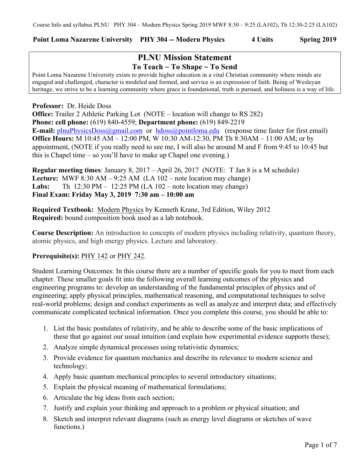Course Info and syllabus PLNU PHY 304 – Modern Physics Spring 2019 MWF 8:30 – 9:25 (LA102), Th 12:30-2:25 (LA102)

# **Point Loma Nazarene University PHY 304 -- Modern Physics 4 Units Spring 2019**

# **PLNU Mission Statement To Teach ~ To Shape ~ To Send**

Point Loma Nazarene University exists to provide higher education in a vital Christian community where minds are engaged and challenged, character is modeled and formed, and service is an expression of faith. Being of Wesleyan heritage, we strive to be a learning community where grace is foundational, truth is pursued, and holiness is a way of life.

## **Professor:** Dr. Heide Doss

**Office:** Trailer 2 Athletic Parking Lot (NOTE – location will change to RS 282) **Phone: cell phone:** (619) 840-4559; **Department phone:** (619) 849-2219 **E-mail:** plnuPhysicsDoss@gmail.com or hdoss@pointloma.edu (response time faster for first email) **Office Hours:** M 10:45 AM – 12:00 PM, W 10:30 AM-12:30, PM Th 8:30AM – 11:00 AM; or by appointment, (NOTE if you really need to see me, I will also be around M and F from 9:45 to 10:45 but this is Chapel time – so you'll have to make up Chapel one evening.)

**Regular meeting times**: January 8, 2017 – April 26, 2017 (NOTE: T Jan 8 is a M schedule) **Lecture:** MWF 8:30 AM – 9:25 AM (LA 102 – note location may change) **Labs:** Th  $12:30 \text{ PM} - 12:25 \text{ PM}$  (LA  $102$  – note location may change) **Final Exam: Friday May 3, 2019 7:30 am – 10:00 am**

**Required Textbook:** Modern Physics by Kenneth Krane, 3rd Edition, Wiley 2012 **Required:** bound composition book used as a lab notebook.

**Course Description:** An introduction to concepts of modern physics including relativity, quantum theory, atomic physics, and high energy physics. Lecture and laboratory.

## **Prerequisite(s):** PHY 142 or PHY 242.

Student Learning Outcomes: In this course there are a number of specific goals for you to meet from each chapter. These smaller goals fit into the following overall learning outcomes of the physics and engineering programs to: develop an understanding of the fundamental principles of physics and of engineering; apply physical principles, mathematical reasoning, and computational techniques to solve real-world problems; design and conduct experiments as well as analyze and interpret data; and effectively communicate complicated technical information. Once you complete this course, you should be able to:

- 1. List the basic postulates of relativity, and be able to describe some of the basic implications of these that go against our usual intuition (and explain how experimental evidence supports these);
- 2. Analyze simple dynamical processes using relativistic dynamics;
- 3. Provide evidence for quantum mechanics and describe its relevance to modern science and technology;
- 4. Apply basic quantum mechanical principles to several introductory situations;
- 5. Explain the physical meaning of mathematical formulations;
- 6. Articulate the big ideas from each section;
- 7. Justify and explain your thinking and approach to a problem or physical situation; and
- 8. Sketch and interpret relevant diagrams (such as energy level diagrams or sketches of wave functions.)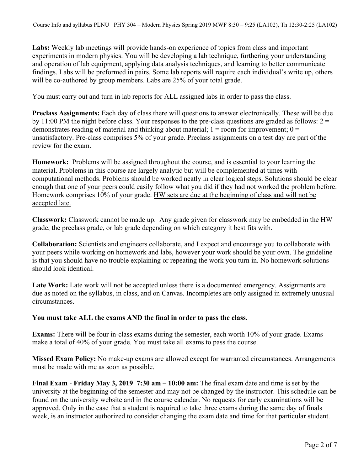**Labs:** Weekly lab meetings will provide hands-on experience of topics from class and important experiments in modern physics. You will be developing a lab technique, furthering your understanding and operation of lab equipment, applying data analysis techniques, and learning to better communicate findings. Labs will be preformed in pairs. Some lab reports will require each individual's write up, others will be co-authored by group members. Labs are 25% of your total grade.

You must carry out and turn in lab reports for ALL assigned labs in order to pass the class.

**Preclass Assignments:** Each day of class there will questions to answer electronically. These will be due by 11:00 PM the night before class. Your responses to the pre-class questions are graded as follows:  $2 =$ demonstrates reading of material and thinking about material;  $1 =$  room for improvement;  $0 =$ unsatisfactory. Pre-class comprises 5% of your grade. Preclass assignments on a test day are part of the review for the exam.

**Homework:** Problems will be assigned throughout the course, and is essential to your learning the material. Problems in this course are largely analytic but will be complemented at times with computational methods. Problems should be worked neatly in clear logical steps. Solutions should be clear enough that one of your peers could easily follow what you did if they had not worked the problem before. Homework comprises 10% of your grade. HW sets are due at the beginning of class and will not be accepted late.

**Classwork:** Classwork cannot be made up. Any grade given for classwork may be embedded in the HW grade, the preclass grade, or lab grade depending on which category it best fits with.

**Collaboration:** Scientists and engineers collaborate, and I expect and encourage you to collaborate with your peers while working on homework and labs, however your work should be your own. The guideline is that you should have no trouble explaining or repeating the work you turn in. No homework solutions should look identical.

Late Work: Late work will not be accepted unless there is a documented emergency. Assignments are due as noted on the syllabus, in class, and on Canvas. Incompletes are only assigned in extremely unusual circumstances.

#### **You must take ALL the exams AND the final in order to pass the class.**

**Exams:** There will be four in-class exams during the semester, each worth 10% of your grade. Exams make a total of 40% of your grade. You must take all exams to pass the course.

**Missed Exam Policy:** No make-up exams are allowed except for warranted circumstances. Arrangements must be made with me as soon as possible.

**Final Exam** - **Friday May 3, 2019 7:30 am – 10:00 am:** The final exam date and time is set by the university at the beginning of the semester and may not be changed by the instructor. This schedule can be found on the university website and in the course calendar. No requests for early examinations will be approved. Only in the case that a student is required to take three exams during the same day of finals week, is an instructor authorized to consider changing the exam date and time for that particular student.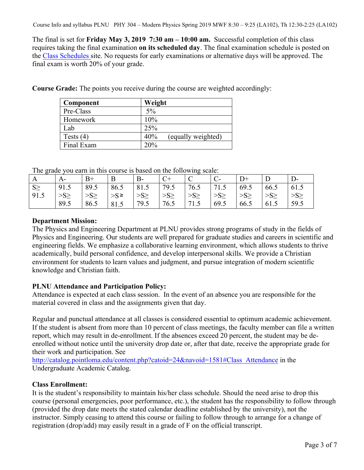The final is set for **Friday May 3, 2019 7:30 am – 10:00 am.** Successful completion of this class requires taking the final examination **on its scheduled day**. The final examination schedule is posted on the Class Schedules site. No requests for early examinations or alternative days will be approved. The final exam is worth 20% of your grade.

| Component   | Weight                    |
|-------------|---------------------------|
| Pre-Class   | 5%                        |
| Homework    | 10%                       |
| Lab         | 25%                       |
| Tests $(4)$ | 40%<br>(equally weighted) |
| Final Exam  | 20%                       |

**Course Grade:** The points you receive during the course are weighted accordingly:

The grade you earn in this course is based on the following scale:

| ----     |                  |           |             |          |                 |           |           |           |           |           |
|----------|------------------|-----------|-------------|----------|-----------------|-----------|-----------|-----------|-----------|-----------|
| A        | A-               | B+        | B           | $B-$     |                 | ◡         |           |           |           |           |
| $S \geq$ | 91.5             | 89.5      | 86.5        | 81.5     | 79.5            | 76.5      | 71.5      | 69.5      | 66.5      | 61.5      |
| 91.5     | $>\!\!S\!\!\geq$ | $>S \geq$ | $>S^{\geq}$ | $>S\geq$ | >S <sub>2</sub> | $>S \geq$ | $>S \geq$ | $>S \geq$ | $>S \geq$ | $>S \geq$ |
|          | 89.5             | 86.5      | 81.5        | 79.5     | 76.5            | 71.5      | 69.5      | 66.5      | 61.5      | 59.5      |

## **Department Mission:**

The Physics and Engineering Department at PLNU provides strong programs of study in the fields of Physics and Engineering. Our students are well prepared for graduate studies and careers in scientific and engineering fields. We emphasize a collaborative learning environment, which allows students to thrive academically, build personal confidence, and develop interpersonal skills. We provide a Christian environment for students to learn values and judgment, and pursue integration of modern scientific knowledge and Christian faith.

## **PLNU Attendance and Participation Policy:**

Attendance is expected at each class session. In the event of an absence you are responsible for the material covered in class and the assignments given that day.

Regular and punctual attendance at all classes is considered essential to optimum academic achievement. If the student is absent from more than 10 percent of class meetings, the faculty member can file a written report, which may result in de-enrollment. If the absences exceed 20 percent, the student may be deenrolled without notice until the university drop date or, after that date, receive the appropriate grade for their work and participation. See

http://catalog.pointloma.edu/content.php?catoid=24&navoid=1581#Class\_Attendance in the Undergraduate Academic Catalog.

## **Class Enrollment:**

It is the student's responsibility to maintain his/her class schedule. Should the need arise to drop this course (personal emergencies, poor performance, etc.), the student has the responsibility to follow through (provided the drop date meets the stated calendar deadline established by the university), not the instructor. Simply ceasing to attend this course or failing to follow through to arrange for a change of registration (drop/add) may easily result in a grade of F on the official transcript.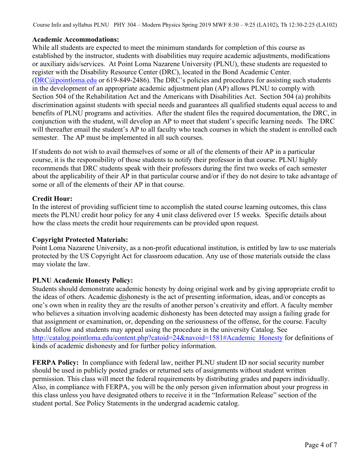Course Info and syllabus PLNU PHY 304 – Modern Physics Spring 2019 MWF 8:30 – 9:25 (LA102), Th 12:30-2:25 (LA102)

#### **Academic Accommodations:**

While all students are expected to meet the minimum standards for completion of this course as established by the instructor, students with disabilities may require academic adjustments, modifications or auxiliary aids/services. At Point Loma Nazarene University (PLNU), these students are requested to register with the Disability Resource Center (DRC), located in the Bond Academic Center. (DRC@pointloma.edu or 619-849-2486). The DRC's policies and procedures for assisting such students in the development of an appropriate academic adjustment plan (AP) allows PLNU to comply with Section 504 of the Rehabilitation Act and the Americans with Disabilities Act. Section 504 (a) prohibits discrimination against students with special needs and guarantees all qualified students equal access to and benefits of PLNU programs and activities. After the student files the required documentation, the DRC, in conjunction with the student, will develop an AP to meet that student's specific learning needs. The DRC will thereafter email the student's AP to all faculty who teach courses in which the student is enrolled each semester. The AP must be implemented in all such courses.

If students do not wish to avail themselves of some or all of the elements of their AP in a particular course, it is the responsibility of those students to notify their professor in that course. PLNU highly recommends that DRC students speak with their professors during the first two weeks of each semester about the applicability of their AP in that particular course and/or if they do not desire to take advantage of some or all of the elements of their AP in that course.

#### **Credit Hour:**

In the interest of providing sufficient time to accomplish the stated course learning outcomes, this class meets the PLNU credit hour policy for any 4 unit class delivered over 15 weeks. Specific details about how the class meets the credit hour requirements can be provided upon request.

#### **Copyright Protected Materials:**

Point Loma Nazarene University, as a non-profit educational institution, is entitled by law to use materials protected by the US Copyright Act for classroom education. Any use of those materials outside the class may violate the law.

## **PLNU Academic Honesty Policy:**

Students should demonstrate academic honesty by doing original work and by giving appropriate credit to the ideas of others. Academic dishonesty is the act of presenting information, ideas, and/or concepts as one's own when in reality they are the results of another person's creativity and effort. A faculty member who believes a situation involving academic dishonesty has been detected may assign a failing grade for that assignment or examination, or, depending on the seriousness of the offense, for the course. Faculty should follow and students may appeal using the procedure in the university Catalog. See http://catalog.pointloma.edu/content.php?catoid=24&navoid=1581#Academic\_Honesty for definitions of kinds of academic dishonesty and for further policy information.

**FERPA Policy:** In compliance with federal law, neither PLNU student ID nor social security number should be used in publicly posted grades or returned sets of assignments without student written permission. This class will meet the federal requirements by distributing grades and papers individually. Also, in compliance with FERPA, you will be the only person given information about your progress in this class unless you have designated others to receive it in the "Information Release" section of the student portal. See Policy Statements in the undergrad academic catalog.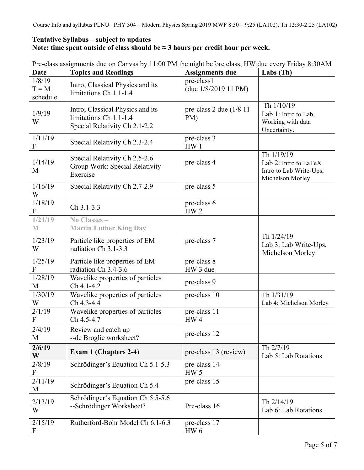# **Tentative Syllabus – subject to updates Note: time spent outside of class should be ≈ 3 hours per credit hour per week.**

| <b>Date</b>                   | <b>Topics and Readings</b>                                                                  | <b>Assignments due</b>               | Labs (Th)                                                                          |
|-------------------------------|---------------------------------------------------------------------------------------------|--------------------------------------|------------------------------------------------------------------------------------|
| 1/8/19<br>$T = M$<br>schedule | Intro; Classical Physics and its<br>limitations Ch 1.1-1.4                                  | pre-class1<br>(due $1/8/2019$ 11 PM) |                                                                                    |
| 1/9/19<br>W                   | Intro; Classical Physics and its<br>limitations Ch 1.1-1.4<br>Special Relativity Ch 2.1-2.2 | pre-class 2 due $(1/8 11)$<br>PM     | Th 1/10/19<br>Lab 1: Intro to Lab,<br>Working with data<br>Uncertainty.            |
| 1/11/19<br>$\boldsymbol{F}$   | Special Relativity Ch 2.3-2.4                                                               | pre-class 3<br>HW <sub>1</sub>       |                                                                                    |
| 1/14/19<br>M                  | Special Relativity Ch 2.5-2.6<br>Group Work: Special Relativity<br>Exercise                 | pre-class 4                          | Th 1/19/19<br>Lab 2: Intro to LaTeX<br>Intro to Lab Write-Ups,<br>Michelson Morley |
| 1/16/19<br>W                  | Special Relativity Ch 2.7-2.9                                                               | pre-class 5                          |                                                                                    |
| 1/18/19<br>$\boldsymbol{F}$   | Ch 3.1-3.3                                                                                  | pre-class 6<br>HW <sub>2</sub>       |                                                                                    |
| 1/21/19<br>M                  | No Classes -<br><b>Martin Luther King Day</b>                                               |                                      |                                                                                    |
| 1/23/19<br>W                  | Particle like properties of EM<br>radiation Ch 3.1-3.3                                      | pre-class 7                          | Th 1/24/19<br>Lab 3: Lab Write-Ups,<br>Michelson Morley                            |
| 1/25/19<br>F                  | Particle like properties of EM<br>radiation Ch 3.4-3.6                                      | pre-class 8<br>HW 3 due              |                                                                                    |
| 1/28/19<br>M                  | Wavelike properties of particles<br>Ch 4.1-4.2                                              | pre-class 9                          |                                                                                    |
| 1/30/19<br>W                  | Wavelike properties of particles<br>Ch 4.3-4.4                                              | pre-class 10                         | Th 1/31/19<br>Lab 4: Michelson Morley                                              |
| 2/1/19<br>F                   | Wavelike properties of particles<br>Ch 4.5-4.7                                              | pre-class 11<br>HW <sub>4</sub>      |                                                                                    |
| 2/4/19<br>M                   | Review and catch up<br>--de Broglie worksheet?                                              | pre-class 12                         |                                                                                    |
| 2/6/19<br>W                   | Exam 1 (Chapters 2-4)                                                                       | pre-class 13 (review)                | Th 2/7/19<br>Lab 5: Lab Rotations                                                  |
| 2/8/19<br>F                   | Schrödinger's Equation Ch 5.1-5.3                                                           | pre-class 14<br>HW <sub>5</sub>      |                                                                                    |
| 2/11/19<br>M                  | Schrödinger's Equation Ch 5.4                                                               | pre-class 15                         |                                                                                    |
| 2/13/19<br>W                  | Schrödinger's Equation Ch 5.5-5.6<br>--Schrödinger Worksheet?                               | Pre-class 16                         | Th 2/14/19<br>Lab 6: Lab Rotations                                                 |
| 2/15/19<br>$\boldsymbol{F}$   | Rutherford-Bohr Model Ch 6.1-6.3                                                            | pre-class 17<br>HW <sub>6</sub>      |                                                                                    |

Pre-class assignments due on Canvas by 11:00 PM the night before class; HW due every Friday 8:30AM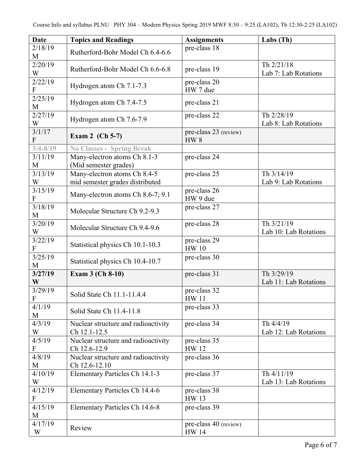| <b>Date</b>                 | <b>Topics and Readings</b>                                      | <b>Assignments</b>                       | Labs (Th)                             |
|-----------------------------|-----------------------------------------------------------------|------------------------------------------|---------------------------------------|
| 2/18/19<br>M                | Rutherford-Bohr Model Ch 6.4-6.6                                | pre-class 18                             |                                       |
| 2/20/19<br>W                | Rutherford-Bohr Model Ch 6.6-6.8                                | pre-class 19                             | Th 2/21/18<br>Lab 7: Lab Rotations    |
| 2/22/19<br>$\boldsymbol{F}$ | Hydrogen atom Ch 7.1-7.3                                        | pre-class 20<br>HW 7 due                 |                                       |
| 2/25/19<br>M                | Hydrogen atom Ch 7.4-7.5                                        | pre-class 21                             |                                       |
| 2/27/19<br>W                | Hydrogen atom Ch 7.6-7.9                                        | pre-class 22                             | Th 2/28/19<br>Lab 8: Lab Rotations    |
| 3/1/17<br>$\boldsymbol{F}$  | Exam 2 (Ch 5-7)                                                 | pre-class 23 (review)<br>HW <sub>8</sub> |                                       |
| $3/4 - 8/19$                | <b>No Classes - Spring Break</b>                                |                                          |                                       |
| 3/11/19<br>M                | Many-electron atoms Ch 8.1-3<br>(Mid semester grades)           | pre-class 24                             |                                       |
| 3/13/19<br>W                | Many-electron atoms Ch 8.4-5<br>mid semester grades distributed | pre-class 25                             | Th 3/14/19<br>Lab 9: Lab Rotations    |
| 3/15/19<br>F                | Many-electron atoms Ch 8.6-7; 9.1                               | pre-class 26<br>HW 9 due                 |                                       |
| 3/18/19<br>M                | Molecular Structure Ch 9.2-9.3                                  | pre-class 27                             |                                       |
| 3/20/19<br>W                | Molecular Structure Ch 9.4-9.6                                  | pre-class 28                             | Th $3/21/19$<br>Lab 10: Lab Rotations |
| 3/22/19<br>F                | Statistical physics Ch 10.1-10.3                                | pre-class 29<br><b>HW10</b>              |                                       |
| 3/25/19<br>M                | Statistical physics Ch 10.4-10.7                                | pre-class 30                             |                                       |
| 3/27/19<br>W                | Exam 3 (Ch 8-10)                                                | pre-class 31                             | Th 3/29/19<br>Lab 11: Lab Rotations   |
| 3/29/19<br>$\mathbf{F}$     | Solid State Ch 11.1-11.4.4                                      | pre-class 32<br>HW 11                    |                                       |
| 4/1/19<br>M                 | Solid State Ch 11.4-11.8                                        | pre-class 33                             |                                       |
| 4/3/19<br>W                 | Nuclear structure and radioactivity<br>Ch 12.1-12.5             | pre-class 34                             | Th 4/4/19<br>Lab 12: Lab Rotations    |
| 4/5/19<br>F                 | Nuclear structure and radioactivity<br>Ch 12.6-12.9             | pre-class 35<br><b>HW12</b>              |                                       |
| 4/8/19<br>M                 | Nuclear structure and radioactivity<br>Ch 12.6-12.10            | pre-class 36                             |                                       |
| 4/10/19<br>W                | Elementary Particles Ch 14.1-3                                  | pre-class 37                             | Th 4/11/19<br>Lab 13: Lab Rotations   |
| 4/12/19<br>${\bf F}$        | Elementary Particles Ch 14.4-6                                  | pre-class 38<br><b>HW13</b>              |                                       |
| 4/15/19<br>M                | Elementary Particles Ch 14.6-8                                  | pre-class 39                             |                                       |
| 4/17/19<br>W                | Review                                                          | pre-class 40 (review)<br><b>HW 14</b>    |                                       |